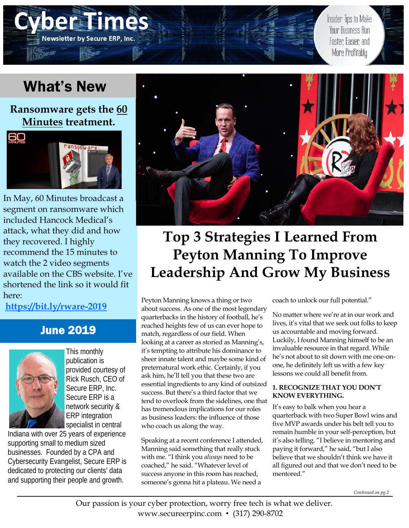# What's New

ER PERSON

**Newsletter by Secure ERP, Inc.** 

**Ransomware gets the 60 Minutes treatment.** 



In May, 60 Minutes broadcast a segment on ransomware which included Hancock Medical's attack, what they did and how they recovered. I highly recommend the 15 minutes to watch the 2 video segments available on the CBS website. I've shortened the link so it would fit here:

**https://bit.ly/rware-2019**

### June 2019



This monthly publication is provided courtesy of Rick Rusch, CEO of Secure ERP, Inc. Secure ERP is a network security & ERP integration specialist in central

Indiana with over 25 years of experience supporting small to medium sized businesses. Founded by a CPA and Cybersecurity Evangelist, Secure ERP is dedicated to protecting our clients' data and supporting their people and growth.



# **Top 3 Strategies I Learned From Peyton Manning To Improve Leadership And Grow My Business**

Peyton Manning knows a thing or two about success. As one of the most legendary quarterbacks in the history of football, he's reached heights few of us can ever hope to match, regardless of our field. When looking at a career as storied as Manning's, it's tempting to attribute his dominance to sheer innate talent and maybe some kind of preternatural work ethic. Certainly, if you ask him, he'll tell you that these two are essential ingredients to any kind of outsized success. But there's a third factor that we tend to overlook from the sidelines, one that has tremendous implications for our roles as business leaders: the influence of those who coach us along the way.

Speaking at a recent conference I attended, Manning said something that really stuck with me. "I think you *always* need to be coached," he said. "Whatever level of success anyone in this room has reached, someone's gonna hit a plateau. We need a

coach to unlock our full potential."

No matter where we're at in our work and lives, it's vital that we seek out folks to keep us accountable and moving forward. Luckily, I found Manning himself to be an invaluable resource in that regard. While he's not about to sit down with me one-onone, he definitely left us with a few key lessons we could all benefit from.

Insider Tips to Make

Your Business Run

Faster Easier and More Profitably

#### **1. RECOGNIZE THAT YOU DON'T KNOW EVERYTHING.**

It's easy to balk when you hear a quarterback with two Super Bowl wins and five MVP awards under his belt tell you to remain humble in your self-perception, but it's also telling. "I believe in mentoring and paying it forward," he said, "but I also believe that we shouldn't think we have it all figured out and that we don't need to be mentored."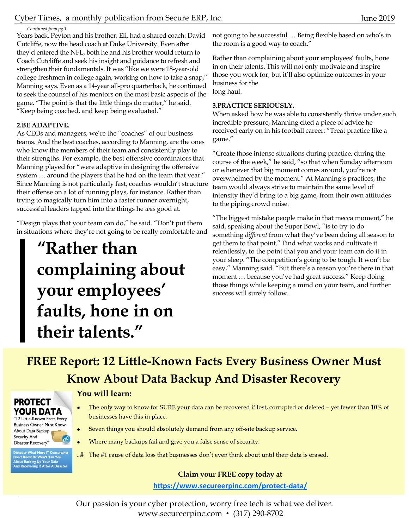Cyber Times, a monthly publication from Secure ERP, Inc. June 2019

#### *Continued from pg.1*

Years back, Peyton and his brother, Eli, had a shared coach: David Cutcliffe, now the head coach at Duke University. Even after they'd entered the NFL, both he and his brother would return to Coach Cutcliffe and seek his insight and guidance to refresh and strengthen their fundamentals. It was "like we were 18-year-old college freshmen in college again, working on how to take a snap," Manning says. Even as a 14-year all-pro quarterback, he continued to seek the counsel of his mentors on the most basic aspects of the game. "The point is that the little things do matter," he said. "Keep being coached, and keep being evaluated."

#### **2.BE ADAPTIVE.**

As CEOs and managers, we're the "coaches" of our business teams. And the best coaches, according to Manning, are the ones who know the members of their team and consistently play to their strengths. For example, the best offensive coordinators that Manning played for "were adaptive in designing the offensive system … around the players that he had on the team that year." Since Manning is not particularly fast, coaches wouldn't structure their offense on a lot of running plays, for instance. Rather than trying to magically turn him into a faster runner overnight, successful leaders tapped into the things he *was* good at.

"Design plays that your team can do," he said. "Don't put them in situations where they're not going to be really comfortable and

# **"Rather than complaining about your employees' faults, hone in on their talents."**

not going to be successful … Being flexible based on who's in the room is a good way to coach."

Rather than complaining about your employees' faults, hone in on their talents. This will not only motivate and inspire those you work for, but it'll also optimize outcomes in your business for the long haul.

#### **3.PRACTICE SERIOUSLY.**

When asked how he was able to consistently thrive under such incredible pressure, Manning cited a piece of advice he received early on in his football career: "Treat practice like a game."

"Create those intense situations during practice, during the course of the week," he said, "so that when Sunday afternoon or whenever that big moment comes around, you're not overwhelmed by the moment." At Manning's practices, the team would always strive to maintain the same level of intensity they'd bring to a big game, from their own attitudes to the piping crowd noise.

"The biggest mistake people make in that mecca moment," he said, speaking about the Super Bowl, "is to try to do something *different* from what they've been doing all season to get them to that point." Find what works and cultivate it relentlessly, to the point that you and your team can do it in your sleep. "The competition's going to be tough. It won't be easy," Manning said. "But there's a reason you're there in that moment … because you've had great success." Keep doing those things while keeping a mind on your team, and further success will surely follow.

## **FREE Report: 12 Little-Known Facts Every Business Owner Must Know About Data Backup And Disaster Recovery**

#### You will learn:

- The only way to know for SURE your data can be recovered if lost, corrupted or deleted yet fewer than 10% of businesses have this in place.
- Seven things you should absolutely demand from any off-site backup service.
- $\bullet$ Where many backups fail and give you a false sense of security.
- ...# The #1 cause of data loss that businesses don't even think about until their data is erased.

#### **Claim your FREE copy today at**

https://www.secureerpinc.com/protect-data/

Our passion is your cyber protection, worry free tech is what we deliver. www.secureerpinc.com • (317) 290-8702

#### **PROTECT** YOUR DATA

"12 Little-Known Facts Every **Business Owner Must Know** About Data Backup, **Security And** Disaster Recovery"

scover What Most IT Consultants<br>in't Know Or Won't Tell You<br>iout Backing Up Your Data<br>id Recovering It After A Disaster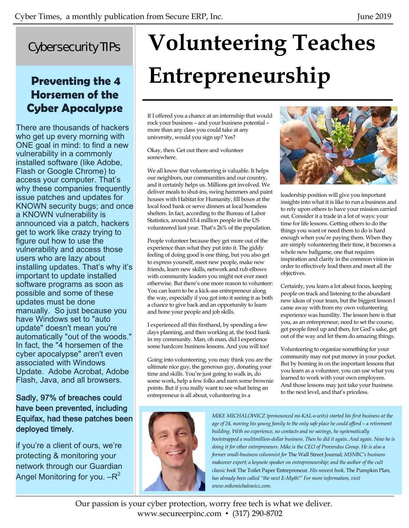## Cybersecurity TIPs

## **Preventing the 4 Horsemen of the Cyber Apocalypse**

There are thousands of hackers who get up every morning with ONE goal in mind: to find a new vulnerability in a commonly installed software (like Adobe, Flash or Google Chrome) to access your computer. That's why these companies frequently issue patches and updates for KNOWN security bugs; and once a KNOWN vulnerability is announced via a patch, hackers get to work like crazy trying to figure out how to use the vulnerability and access those users who are lazy about installing updates. That's why it's important to update installed software programs as soon as possible and some of these updates must be done manually. So just because you have Windows set to "auto update" doesn't mean you're automatically "out of the woods." In fact, the "4 horsemen of the cyber apocalypse" aren't even associated with Windows Update. Adobe Acrobat, Adobe Flash, Java, and all browsers.

#### Sadly, 97% of breaches could have been prevented, including Equifax, had these patches been deployed timely.

if you're a client of ours, we're protecting & monitoring your network through our Guardian Angel Monitoring for you.  $-R^2$ 

# **Volunteering Teaches Entrepreneurship**

If I offered you a chance at an internship that would rock your business – and your business potential – more than any class you could take at any university, would you sign up? Yes?

Okay, then. Get out there and volunteer somewhere.

We all know that volunteering is valuable. It helps our neighbors, our communities and our country, and it certainly helps us. Millions get involved. We deliver meals to shut-ins, swing hammers and paint houses with Habitat for Humanity, fill boxes at the local food bank or serve dinners at local homeless shelters. In fact, according to the Bureau of Labor Statistics, around 63.4 million people in the US volunteered last year. That's 26% of the population.

People volunteer because they get more out of the experience than what they put into it. The giddy feeling of doing good is one thing, but you also get to express yourself, meet new people, make new friends, learn new skills, network and rub elbows with community leaders you might not ever meet otherwise. But there's one more reason to volunteer: You can learn to be a kick-ass entrepreneur along the way, especially if you got into it seeing it as both a chance to give back and an opportunity to learn and hone your people and job skills.

I experienced all this firsthand, by spending a few days planning, and then working at, the food bank in my community. Man, oh man, did I experience some hardcore business lessons. And you will too!

Going into volunteering, you may think you are the ultimate nice guy, the generous guy, donating your time and skills. You're just going to walk in, do some work, help a few folks and earn some brownie points. But if you really want to see what being an entrepreneur is all about, volunteering in a



leadership position will give you important insights into what it is like to run a business and to rely upon others to have your mission carried out. Consider it a trade in a lot of ways: your time for life lessons. Getting others to do the things you want or need them to do is hard enough when you're paying them. When they are simply volunteering their time, it becomes a whole new ballgame, one that requires inspiration and clarity in the common vision in order to effectively lead them and meet all the objectives.

Certainly, you learn a lot about focus, keeping people on track and listening to the abundant new ideas of your team, but the biggest lesson I came away with from my own volunteering experience was humility. The lesson here is that you, as an entrepreneur, need to set the course, get people fired up and then, for God's sake, get out of the way and let them do amazing things.

Volunteering to organize something for your community may not put money in your pocket. But by homing in on the important lessons that you learn as a volunteer, you can use what you learned to work with your own employees. And those lessons may just take your business to the next level, and that's priceless.



*MIKE MICHALOWICZ (pronounced mi-KAL-o-wits) started his first business at the age of 24, moving his young family to the only safe place he could afford – a retirement building. With no experience, no contacts and no savings, he systematically bootstrapped a multimillion-dollar business. Then he did it again. And again. Now he is doing it for other entrepreneurs. Mike is the CEO of Provendus Group. He is also a former small-business columnist for* The Wall Street Journal*; MSNBC's business makeover expert; a keynote speaker on entrepreneurship; and the author of the cult classic book* The Toilet Paper Entrepreneur*. His newest book,* The Pumpkin Plan*, has already been called "the next E-Myth!" For more information, visit www.mikemichalowicz.com.* 

Our passion is your cyber protection, worry free tech is what we deliver. www.secureerpinc.com • (317) 290-8702